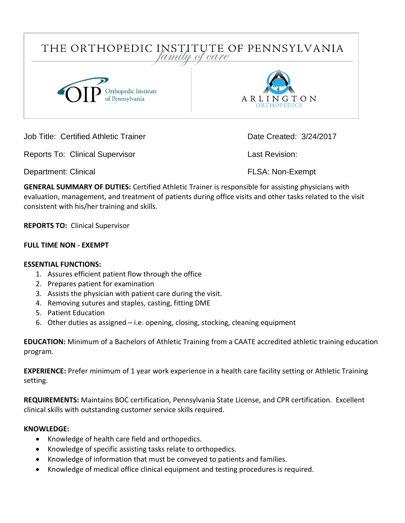

Job Title: Certified Athletic Trainer Date Created: 3/24/2017

Reports To: Clinical Supervisor **Last Revision:** 

Department: Clinical **FLSA: Non-Exempt** 

**GENERAL SUMMARY OF DUTIES:** Certified Athletic Trainer is responsible for assisting physicians with evaluation, management, and treatment of patients during office visits and other tasks related to the visit consistent with his/her training and skills.

**REPORTS TO:** Clinical Supervisor

### **FULL TIME NON - EXEMPT**

#### **ESSENTIAL FUNCTIONS:**

- 1. Assures efficient patient flow through the office
- 2. Prepares patient for examination
- 3. Assists the physician with patient care during the visit.
- 4. Removing sutures and staples, casting, fitting DME
- 5. Patient Education
- 6. Other duties as assigned i.e. opening, closing, stocking, cleaning equipment

**EDUCATION:** Minimum of a Bachelors of Athletic Training from a CAATE accredited athletic training education program.

**EXPERIENCE:** Prefer minimum of 1 year work experience in a health care facility setting or Athletic Training setting.

**REQUIREMENTS:** Maintains BOC certification, Pennsylvania State License, and CPR certification.Excellent clinical skills with outstanding customer service skills required.

# **KNOWLEDGE:**

- Knowledge of health care field and orthopedics.
- Knowledge of specific assisting tasks relate to orthopedics.
- Knowledge of information that must be conveyed to patients and families.
- Knowledge of medical office clinical equipment and testing procedures is required.